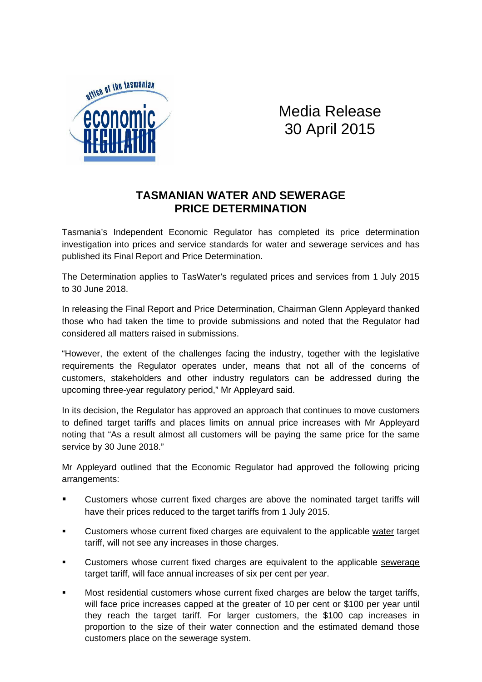

## Media Release 30 April 2015

## **TASMANIAN WATER AND SEWERAGE PRICE DETERMINATION**

Tasmania's Independent Economic Regulator has completed its price determination investigation into prices and service standards for water and sewerage services and has published its Final Report and Price Determination.

The Determination applies to TasWater's regulated prices and services from 1 July 2015 to 30 June 2018.

In releasing the Final Report and Price Determination, Chairman Glenn Appleyard thanked those who had taken the time to provide submissions and noted that the Regulator had considered all matters raised in submissions.

"However, the extent of the challenges facing the industry, together with the legislative requirements the Regulator operates under, means that not all of the concerns of customers, stakeholders and other industry regulators can be addressed during the upcoming three-year regulatory period," Mr Appleyard said.

In its decision, the Regulator has approved an approach that continues to move customers to defined target tariffs and places limits on annual price increases with Mr Appleyard noting that "As a result almost all customers will be paying the same price for the same service by 30 June 2018."

Mr Appleyard outlined that the Economic Regulator had approved the following pricing arrangements:

- Customers whose current fixed charges are above the nominated target tariffs will have their prices reduced to the target tariffs from 1 July 2015.
- Customers whose current fixed charges are equivalent to the applicable water target tariff, will not see any increases in those charges.
- Customers whose current fixed charges are equivalent to the applicable sewerage target tariff, will face annual increases of six per cent per year.
- Most residential customers whose current fixed charges are below the target tariffs, will face price increases capped at the greater of 10 per cent or \$100 per year until they reach the target tariff. For larger customers, the \$100 cap increases in proportion to the size of their water connection and the estimated demand those customers place on the sewerage system.